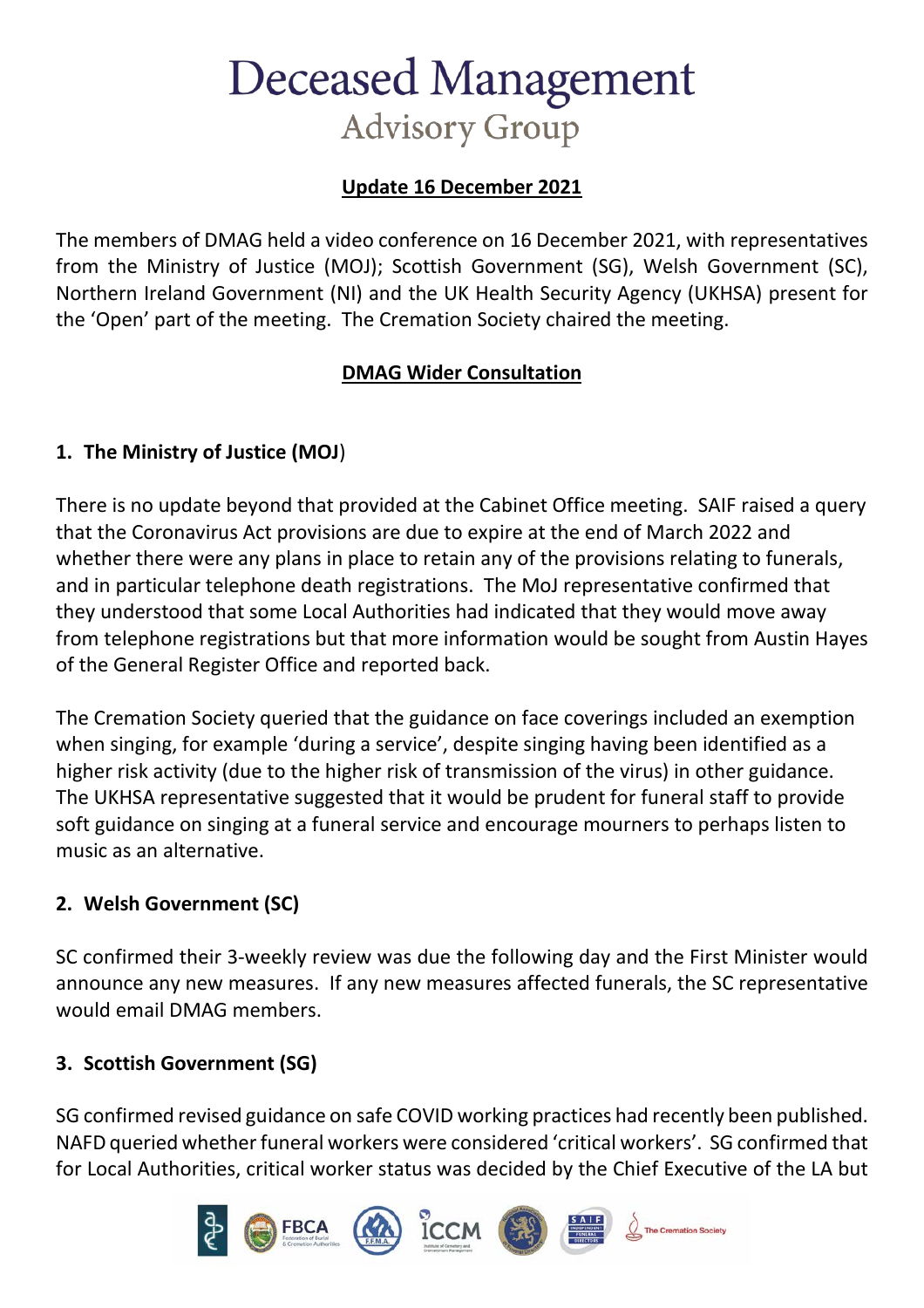# **Deceased Management Advisory Group**

## **Update 16 December 2021**

The members of DMAG held a video conference on 16 December 2021, with representatives from the Ministry of Justice (MOJ); Scottish Government (SG), Welsh Government (SC), Northern Ireland Government (NI) and the UK Health Security Agency (UKHSA) present for the 'Open' part of the meeting. The Cremation Society chaired the meeting.

## **DMAG Wider Consultation**

## **1. The Ministry of Justice (MOJ**)

There is no update beyond that provided at the Cabinet Office meeting. SAIF raised a query that the Coronavirus Act provisions are due to expire at the end of March 2022 and whether there were any plans in place to retain any of the provisions relating to funerals, and in particular telephone death registrations. The MoJ representative confirmed that they understood that some Local Authorities had indicated that they would move away from telephone registrations but that more information would be sought from Austin Hayes of the General Register Office and reported back.

The Cremation Society queried that the guidance on face coverings included an exemption when singing, for example 'during a service', despite singing having been identified as a higher risk activity (due to the higher risk of transmission of the virus) in other guidance. The UKHSA representative suggested that it would be prudent for funeral staff to provide soft guidance on singing at a funeral service and encourage mourners to perhaps listen to music as an alternative.

## **2. Welsh Government (SC)**

SC confirmed their 3-weekly review was due the following day and the First Minister would announce any new measures. If any new measures affected funerals, the SC representative would email DMAG members.

## **3. Scottish Government (SG)**

SG confirmed revised guidance on safe COVID working practices had recently been published. NAFD queried whether funeral workers were considered 'critical workers'. SG confirmed that for Local Authorities, critical worker status was decided by the Chief Executive of the LA but

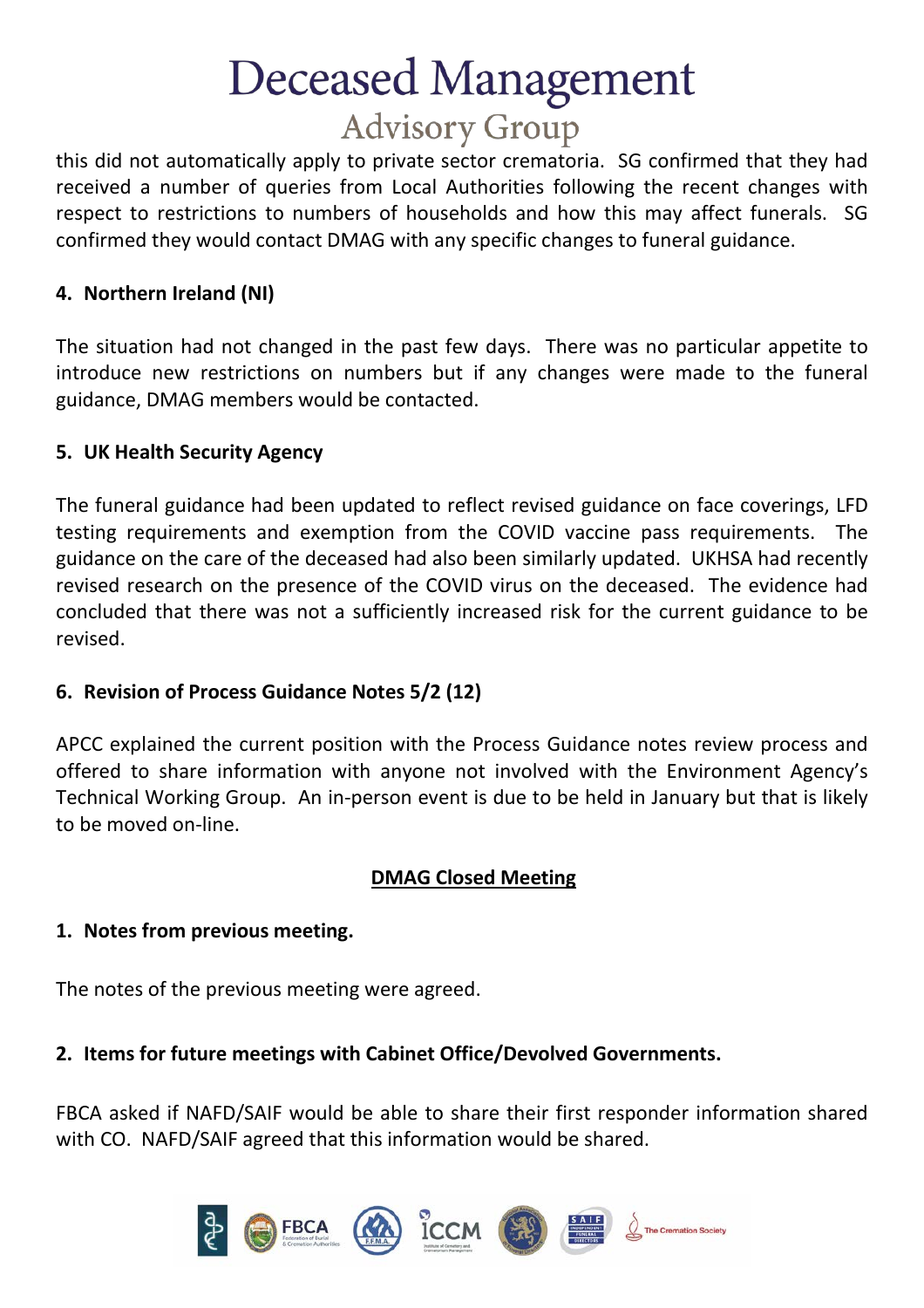# **Deceased Management Advisory Group**

this did not automatically apply to private sector crematoria. SG confirmed that they had received a number of queries from Local Authorities following the recent changes with respect to restrictions to numbers of households and how this may affect funerals. SG confirmed they would contact DMAG with any specific changes to funeral guidance.

### **4. Northern Ireland (NI)**

The situation had not changed in the past few days. There was no particular appetite to introduce new restrictions on numbers but if any changes were made to the funeral guidance, DMAG members would be contacted.

#### **5. UK Health Security Agency**

The funeral guidance had been updated to reflect revised guidance on face coverings, LFD testing requirements and exemption from the COVID vaccine pass requirements. The guidance on the care of the deceased had also been similarly updated. UKHSA had recently revised research on the presence of the COVID virus on the deceased. The evidence had concluded that there was not a sufficiently increased risk for the current guidance to be revised.

#### **6. Revision of Process Guidance Notes 5/2 (12)**

APCC explained the current position with the Process Guidance notes review process and offered to share information with anyone not involved with the Environment Agency's Technical Working Group. An in-person event is due to be held in January but that is likely to be moved on-line.

## **DMAG Closed Meeting**

#### **1. Notes from previous meeting.**

The notes of the previous meeting were agreed.

#### **2. Items for future meetings with Cabinet Office/Devolved Governments.**

FBCA asked if NAFD/SAIF would be able to share their first responder information shared with CO. NAFD/SAIF agreed that this information would be shared.